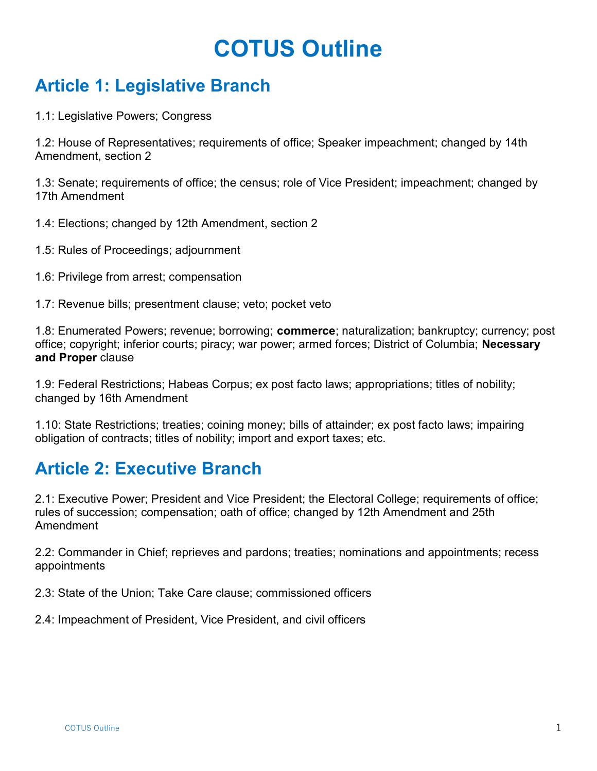# COTUS Outline

## Article 1: Legislative Branch

1.1: Legislative Powers; Congress

1.2: House of Representatives; requirements of office; Speaker impeachment; changed by 14th Amendment, section 2

1.3: Senate; requirements of office; the census; role of Vice President; impeachment; changed by 17th Amendment

1.4: Elections; changed by 12th Amendment, section 2

- 1.5: Rules of Proceedings; adjournment
- 1.6: Privilege from arrest; compensation

1.7: Revenue bills; presentment clause; veto; pocket veto

1.8: Enumerated Powers; revenue; borrowing; **commerce**; naturalization; bankruptcy; currency; post office; copyright; inferior courts; piracy; war power; armed forces; District of Columbia; Necessary and Proper clause

1.9: Federal Restrictions; Habeas Corpus; ex post facto laws; appropriations; titles of nobility; changed by 16th Amendment

1.10: State Restrictions; treaties; coining money; bills of attainder; ex post facto laws; impairing obligation of contracts; titles of nobility; import and export taxes; etc.

### Article 2: Executive Branch

2.1: Executive Power; President and Vice President; the Electoral College; requirements of office; rules of succession; compensation; oath of office; changed by 12th Amendment and 25th Amendment

2.2: Commander in Chief; reprieves and pardons; treaties; nominations and appointments; recess appointments

2.3: State of the Union; Take Care clause; commissioned officers

2.4: Impeachment of President, Vice President, and civil officers